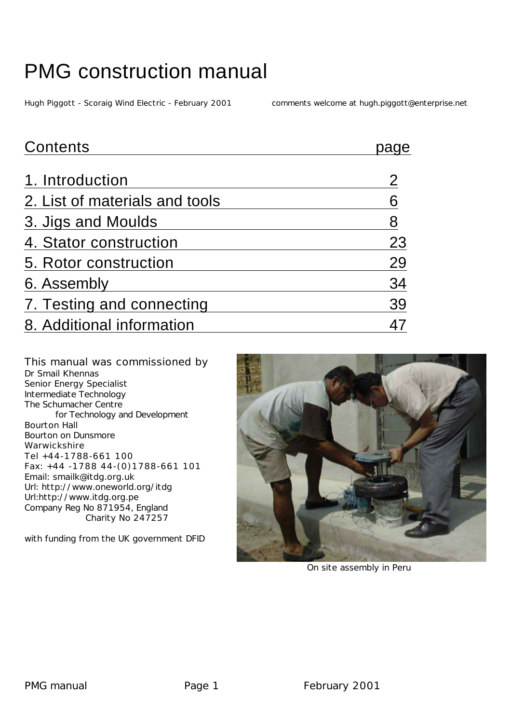# PMG construction manual

Hugh Piggott - Scoraig Wind Electric - February 2001 comments welcome at hugh.piggott@enterprise.net

| Contents                       |    |
|--------------------------------|----|
| 1. Introduction                |    |
| 2. List of materials and tools | 6  |
| 3. Jigs and Moulds             | 8  |
| 4. Stator construction         | 23 |
| 5. Rotor construction          | 29 |
| 6. Assembly                    | 34 |
| 7. Testing and connecting      | 39 |
| 8. Additional information      |    |

| This manual was commissioned by   |
|-----------------------------------|
| Dr Smail Khennas                  |
| Senior Energy Specialist          |
| Intermediate Technology           |
| The Schumacher Centre             |
| for Technology and Development    |
| <b>Bourton Hall</b>               |
| Bourton on Dunsmore               |
| Warwickshire                      |
| Tel +44-1788-661 100              |
| Fax: +44 -1788 44-(0)1788-661 101 |
| Email: smailk@itdg.org.uk         |
| Url: http://www.oneworld.org/itdg |
| Url:http://www.itdg.org.pe        |
| Company Reg No 871954, England    |
| Charity No 247257                 |

with funding from the UK government DFID



On site assembly in Peru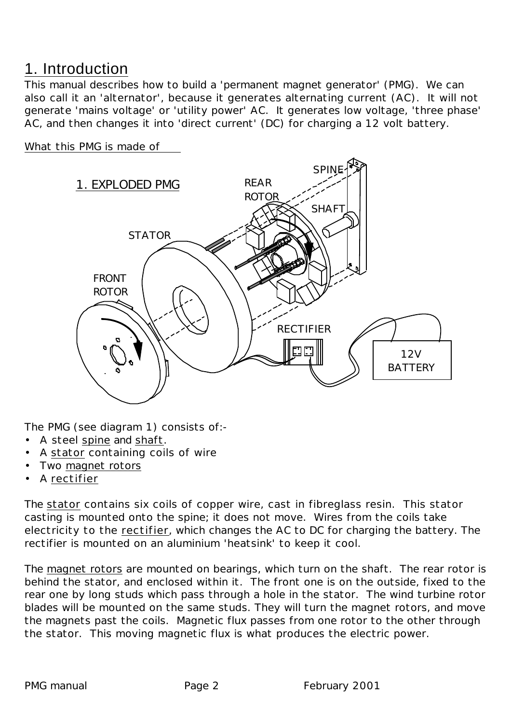## 1. Introduction

This manual describes how to build a 'permanent magnet generator' (PMG). We can also call it an 'alternator', because it generates alternating current (AC). It will not generate 'mains voltage' or 'utility power' AC. It generates low voltage, 'three phase' AC, and then changes it into 'direct current' (DC) for charging a 12 volt battery.

What this PMG is made of



The PMG (see diagram 1) consists of:-

- A steel spine and shaft.
- A stator containing coils of wire
- Two magnet rotors
- A rectifier

The stator contains six coils of copper wire, cast in fibreglass resin. This stator casting is mounted onto the spine; it does not move. Wires from the coils take electricity to the rectifier, which changes the AC to DC for charging the battery. The rectifier is mounted on an aluminium 'heatsink' to keep it cool.

The magnet rotors are mounted on bearings, which turn on the shaft. The rear rotor is behind the stator, and enclosed within it. The front one is on the outside, fixed to the rear one by long studs which pass through a hole in the stator. The wind turbine rotor blades will be mounted on the same studs. They will turn the magnet rotors, and move the magnets past the coils. Magnetic flux passes from one rotor to the other through the stator. This moving magnetic flux is what produces the electric power.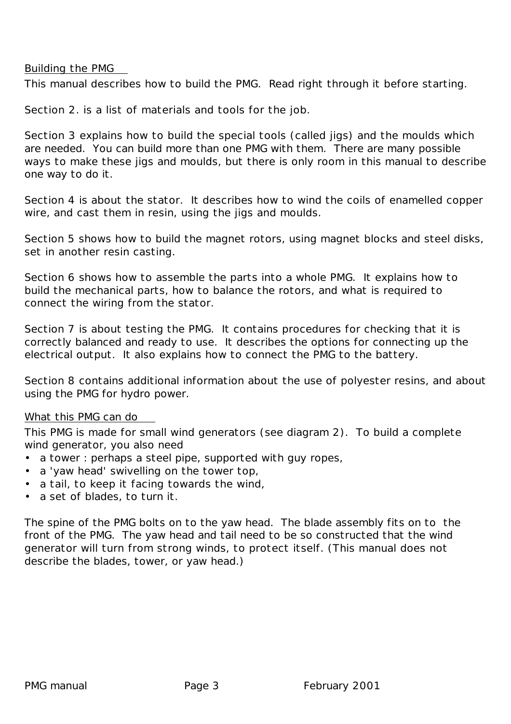#### Building the PMG

This manual describes how to build the PMG. Read right through it before starting.

Section 2. is a list of materials and tools for the job.

Section 3 explains how to build the special tools (called jigs) and the moulds which are needed. You can build more than one PMG with them. There are many possible ways to make these jigs and moulds, but there is only room in this manual to describe one way to do it.

Section 4 is about the stator. It describes how to wind the coils of enamelled copper wire, and cast them in resin, using the jigs and moulds.

Section 5 shows how to build the magnet rotors, using magnet blocks and steel disks, set in another resin casting.

Section 6 shows how to assemble the parts into a whole PMG. It explains how to build the mechanical parts, how to balance the rotors, and what is required to connect the wiring from the stator.

Section 7 is about testing the PMG. It contains procedures for checking that it is correctly balanced and ready to use. It describes the options for connecting up the electrical output. It also explains how to connect the PMG to the battery.

Section 8 contains additional information about the use of polyester resins, and about using the PMG for hydro power.

#### What this PMG can do

This PMG is made for small wind generators (see diagram 2). To build a complete wind generator, you also need

- a tower : perhaps a steel pipe, supported with guy ropes,
- a 'yaw head' swivelling on the tower top,
- a tail, to keep it facing towards the wind,
- a set of blades, to turn it.

The spine of the PMG bolts on to the yaw head. The blade assembly fits on to the front of the PMG. The yaw head and tail need to be so constructed that the wind generator will turn from strong winds, to protect itself. (This manual does not describe the blades, tower, or yaw head.)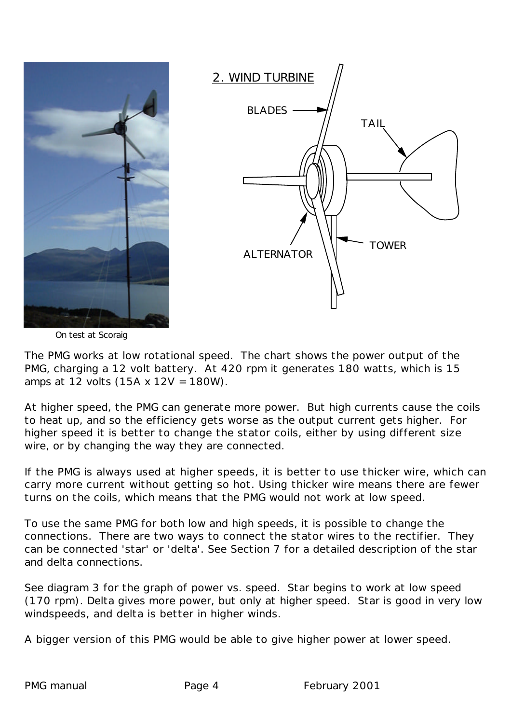



On test at Scoraig

The PMG works at low rotational speed. The chart shows the power output of the PMG, charging a 12 volt battery. At 420 rpm it generates 180 watts, which is 15 amps at 12 volts (15A x 12V = 180W).

At higher speed, the PMG can generate more power. But high currents cause the coils to heat up, and so the efficiency gets worse as the output current gets higher. For higher speed it is better to change the stator coils, either by using different size wire, or by changing the way they are connected.

If the PMG is always used at higher speeds, it is better to use thicker wire, which can carry more current without getting so hot. Using thicker wire means there are fewer turns on the coils, which means that the PMG would not work at low speed.

To use the same PMG for both low and high speeds, it is possible to change the connections. There are two ways to connect the stator wires to the rectifier. They can be connected 'star' or 'delta'. See Section 7 for a detailed description of the star and delta connections.

See diagram 3 for the graph of power vs. speed. Star begins to work at low speed (170 rpm). Delta gives more power, but only at higher speed. Star is good in very low windspeeds, and delta is better in higher winds.

A bigger version of this PMG would be able to give higher power at lower speed.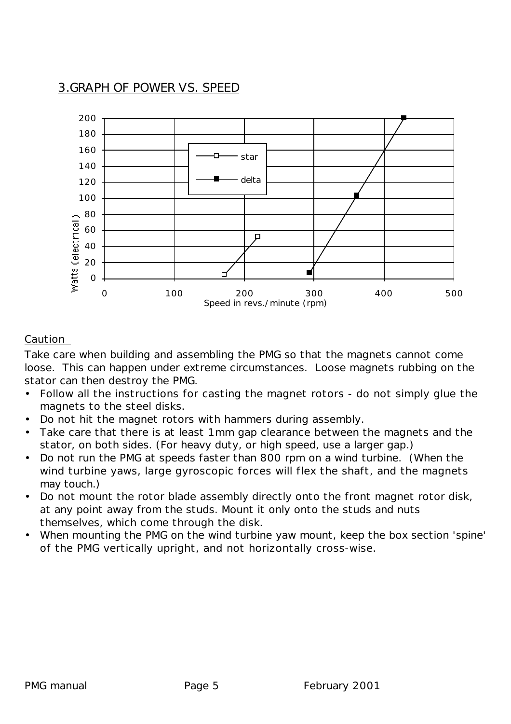## 3.GRAPH OF POWER VS. SPEED



### Caution

Take care when building and assembling the PMG so that the magnets cannot come loose. This can happen under extreme circumstances. Loose magnets rubbing on the stator can then destroy the PMG.

- Follow all the instructions for casting the magnet rotors do not simply glue the magnets to the steel disks.
- Do not hit the magnet rotors with hammers during assembly.
- Take care that there is at least 1mm gap clearance between the magnets and the stator, on both sides. (For heavy duty, or high speed, use a larger gap.)
- Do not run the PMG at speeds faster than 800 rpm on a wind turbine. (When the wind turbine yaws, large gyroscopic forces will flex the shaft, and the magnets may touch.)
- Do not mount the rotor blade assembly directly onto the front magnet rotor disk, at any point away from the studs. Mount it only onto the studs and nuts themselves, which come through the disk.
- When mounting the PMG on the wind turbine yaw mount, keep the box section 'spine' of the PMG vertically upright, and not horizontally cross-wise.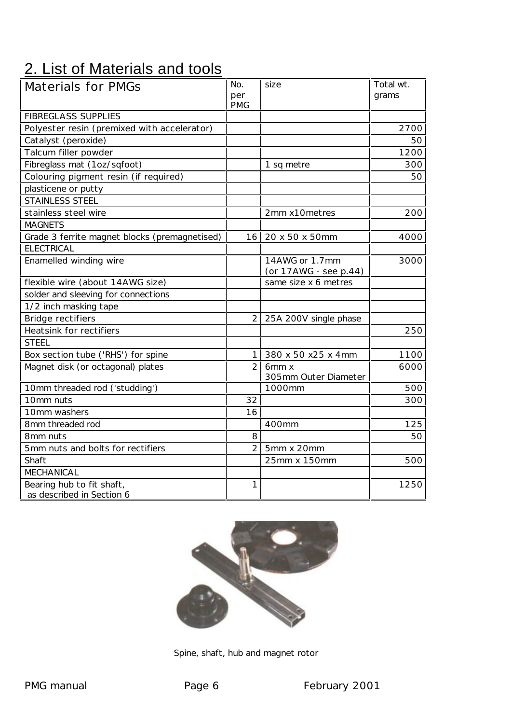## 2. List of Materials and tools

| <b>Materials for PMGs</b>                              | No.            | size                                    | Total wt. |
|--------------------------------------------------------|----------------|-----------------------------------------|-----------|
|                                                        | per            |                                         | grams     |
| <b>FIBREGLASS SUPPLIES</b>                             | <b>PMG</b>     |                                         |           |
|                                                        |                |                                         |           |
| Polyester resin (premixed with accelerator)            |                |                                         | 2700      |
| Catalyst (peroxide)                                    |                |                                         | 50        |
| Talcum filler powder                                   |                |                                         | 1200      |
| Fibreglass mat (1oz/sqfoot)                            |                | 1 sq metre                              | 300       |
| Colouring pigment resin (if required)                  |                |                                         | 50        |
| plasticene or putty                                    |                |                                         |           |
| <b>STAINLESS STEEL</b>                                 |                |                                         |           |
| stainless steel wire                                   |                | 2mm x10metres                           | 200       |
| <b>MAGNETS</b>                                         |                |                                         |           |
| Grade 3 ferrite magnet blocks (premagnetised)          | 16             | 20 x 50 x 50mm                          | 4000      |
| <b>ELECTRICAL</b>                                      |                |                                         |           |
| Enamelled winding wire                                 |                | 14AWG or 1.7mm<br>(or 17AWG - see p.44) | 3000      |
| flexible wire (about 14AWG size)                       |                | same size x 6 metres                    |           |
| solder and sleeving for connections                    |                |                                         |           |
| 1/2 inch masking tape                                  |                |                                         |           |
| <b>Bridge rectifiers</b>                               | $\overline{2}$ | 25A 200V single phase                   |           |
| Heatsink for rectifiers                                |                |                                         | 250       |
| <b>STEEL</b>                                           |                |                                         |           |
| Box section tube ('RHS') for spine                     | 1              | 380 x 50 x 25 x 4mm                     | 1100      |
| Magnet disk (or octagonal) plates                      | $\overline{2}$ | 6mm x<br>305mm Outer Diameter           | 6000      |
| 10mm threaded rod ('studding')                         |                | 1000mm                                  | 500       |
| 10mm nuts                                              | 32             |                                         | 300       |
| 10mm washers                                           | 16             |                                         |           |
| 8mm threaded rod                                       |                | 400mm                                   | 125       |
| 8mm nuts                                               | 8              |                                         | 50        |
| 5mm nuts and bolts for rectifiers                      | $\overline{2}$ | 5mm x 20mm                              |           |
| Shaft                                                  |                | 25mm x 150mm                            | 500       |
| MECHANICAL                                             |                |                                         |           |
| Bearing hub to fit shaft,<br>as described in Section 6 | 1              |                                         | 1250      |



Spine, shaft, hub and magnet rotor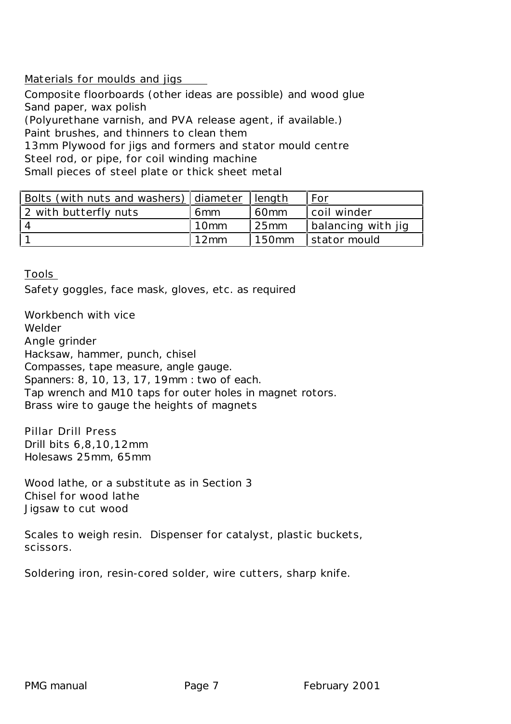Materials for moulds and jigs

Composite floorboards (other ideas are possible) and wood glue Sand paper, wax polish (Polyurethane varnish, and PVA release agent, if available.) Paint brushes, and thinners to clean them 13mm Plywood for jigs and formers and stator mould centre Steel rod, or pipe, for coil winding machine Small pieces of steel plate or thick sheet metal

| Bolts (with nuts and washers)   diameter   length |                  |                   | For                |
|---------------------------------------------------|------------------|-------------------|--------------------|
| 2 with butterfly nuts                             | 6 <sub>mm</sub>  | 60 <sub>mm</sub>  | coil winder        |
|                                                   | 10 <sub>mm</sub> | 25 <sub>mm</sub>  | balancing with jig |
|                                                   | 12 <sub>mm</sub> | 150 <sub>mm</sub> | I stator mould     |

Tools

Safety goggles, face mask, gloves, etc. as required

Workbench with vice Welder Angle grinder Hacksaw, hammer, punch, chisel Compasses, tape measure, angle gauge. Spanners: 8, 10, 13, 17, 19mm : two of each. Tap wrench and M10 taps for outer holes in magnet rotors. Brass wire to gauge the heights of magnets

Pillar Drill Press Drill bits 6,8,10,12mm Holesaws 25mm, 65mm

Wood lathe, or a substitute as in Section 3 Chisel for wood lathe Jigsaw to cut wood

Scales to weigh resin. Dispenser for catalyst, plastic buckets, scissors.

Soldering iron, resin-cored solder, wire cutters, sharp knife.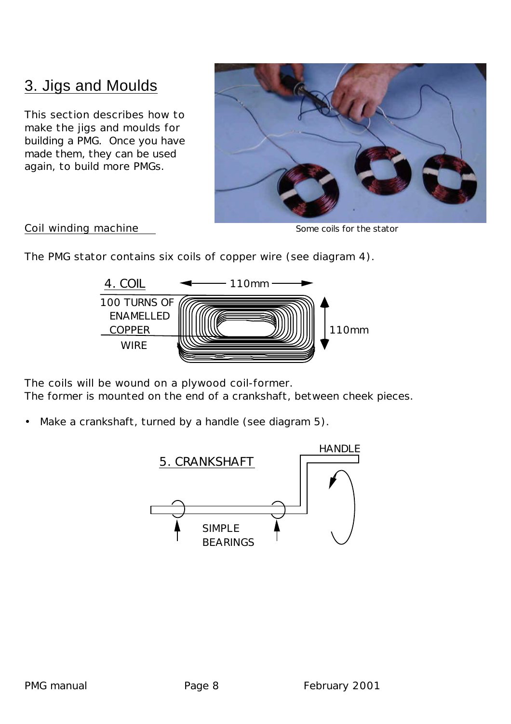## 3. Jigs and Moulds

This section describes how to make the jigs and moulds for building a PMG. Once you have made them, they can be used again, to build more PMGs.



Coil winding machine Coil winding machine

The PMG stator contains six coils of copper wire (see diagram 4).



The coils will be wound on a plywood coil-former. The former is mounted on the end of a crankshaft, between cheek pieces.

• Make a crankshaft, turned by a handle (see diagram 5).

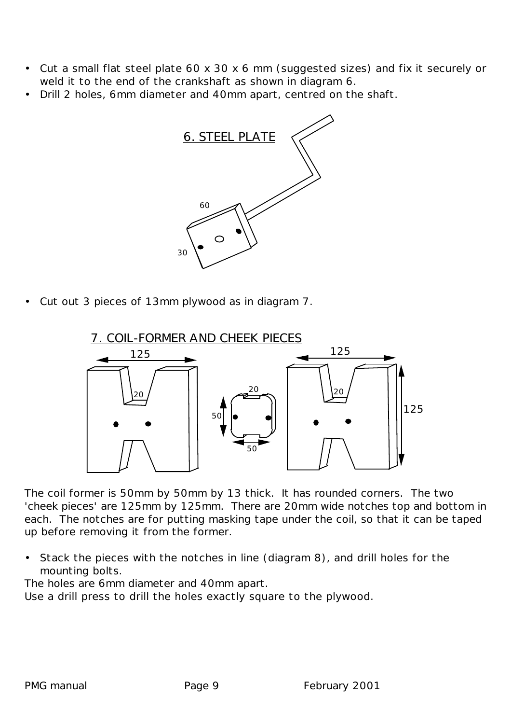- Cut a small flat steel plate 60 x 30 x 6 mm (suggested sizes) and fix it securely or weld it to the end of the crankshaft as shown in diagram 6.
- Drill 2 holes, 6mm diameter and 40mm apart, centred on the shaft.



• Cut out 3 pieces of 13mm plywood as in diagram 7.



The coil former is 50mm by 50mm by 13 thick. It has rounded corners. The two 'cheek pieces' are 125mm by 125mm. There are 20mm wide notches top and bottom in each. The notches are for putting masking tape under the coil, so that it can be taped up before removing it from the former.

• Stack the pieces with the notches in line (diagram 8), and drill holes for the mounting bolts.

The holes are 6mm diameter and 40mm apart.

Use a drill press to drill the holes exactly square to the plywood.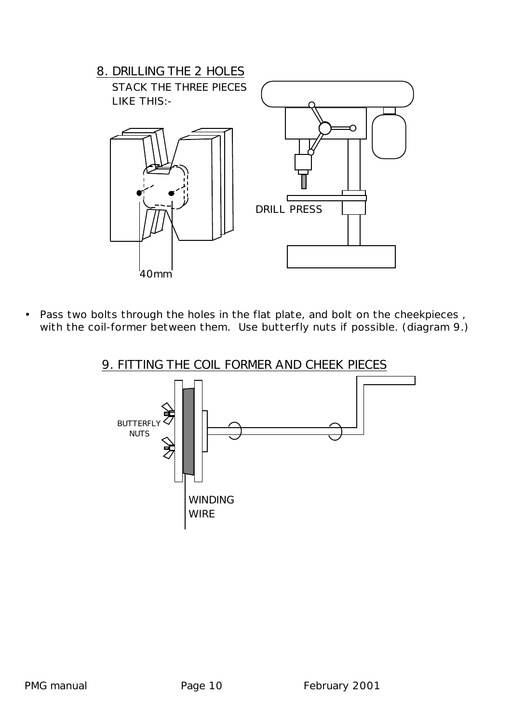

• Pass two bolts through the holes in the flat plate, and bolt on the cheekpieces , with the coil-former between them. Use butterfly nuts if possible. (diagram 9.)

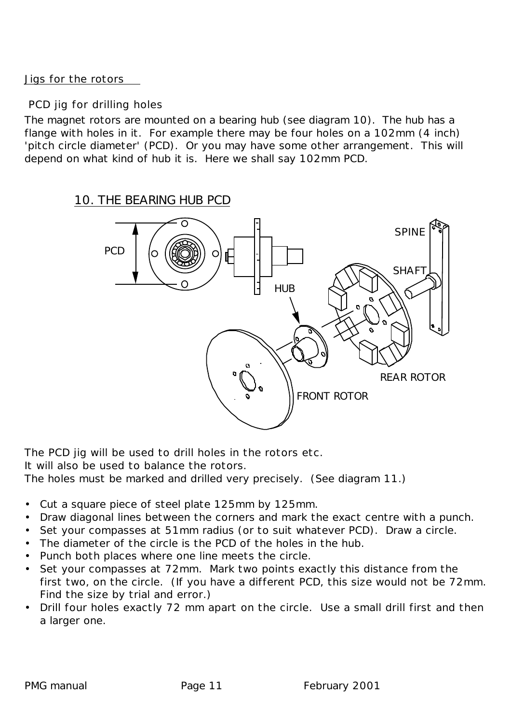Jigs for the rotors

#### PCD jig for drilling holes

The magnet rotors are mounted on a bearing hub (see diagram 10). The hub has a flange with holes in it. For example there may be four holes on a 102mm (4 inch) 'pitch circle diameter' (PCD). Or you may have some other arrangement. This will depend on what kind of hub it is. Here we shall say 102mm PCD.

### 10. THE BEARING HUB PCD



The PCD jig will be used to drill holes in the rotors etc.

It will also be used to balance the rotors.

The holes must be marked and drilled very precisely. (See diagram 11.)

- Cut a square piece of steel plate 125mm by 125mm.
- Draw diagonal lines between the corners and mark the exact centre with a punch.
- Set your compasses at 51mm radius (or to suit whatever PCD). Draw a circle.
- The diameter of the circle is the PCD of the holes in the hub.
- Punch both places where one line meets the circle.
- Set your compasses at 72mm. Mark two points exactly this distance from the first two, on the circle. (If you have a different PCD, this size would not be 72mm. Find the size by trial and error.)
- Drill four holes exactly 72 mm apart on the circle. Use a small drill first and then a larger one.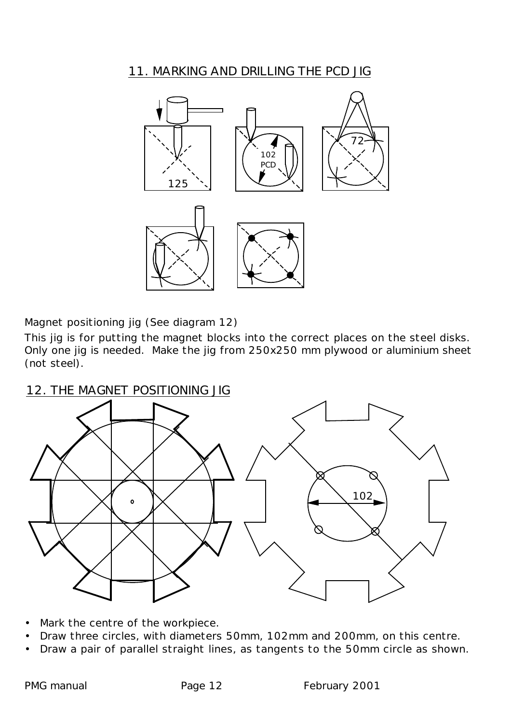11. MARKING AND DRILLING THE PCD JIG



Magnet positioning jig (See diagram 12)

This jig is for putting the magnet blocks into the correct places on the steel disks. Only one jig is needed. Make the jig from 250x250 mm plywood or aluminium sheet (not steel).

12. THE MAGNET POSITIONING JIG



- Mark the centre of the workpiece.
- Draw three circles, with diameters 50mm, 102mm and 200mm, on this centre.
- Draw a pair of parallel straight lines, as tangents to the 50mm circle as shown.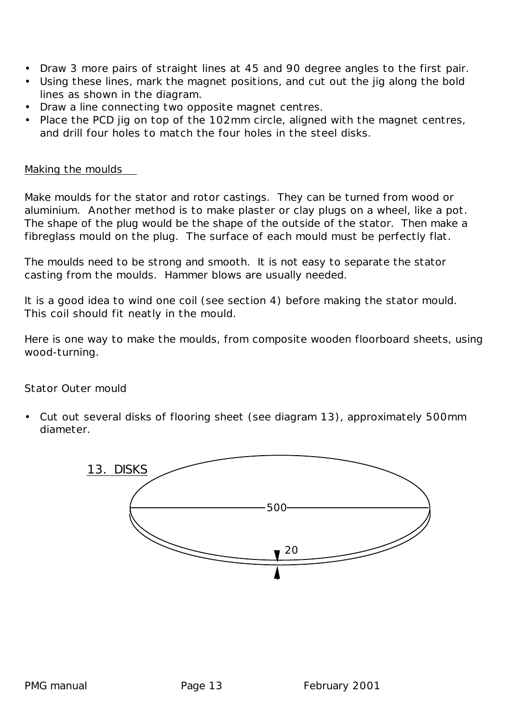- Draw 3 more pairs of straight lines at 45 and 90 degree angles to the first pair.
- Using these lines, mark the magnet positions, and cut out the jig along the bold lines as shown in the diagram.
- Draw a line connecting two opposite magnet centres.
- Place the PCD jig on top of the 102mm circle, aligned with the magnet centres, and drill four holes to match the four holes in the steel disks.

#### Making the moulds

Make moulds for the stator and rotor castings. They can be turned from wood or aluminium. Another method is to make plaster or clay plugs on a wheel, like a pot. The shape of the plug would be the shape of the outside of the stator. Then make a fibreglass mould on the plug. The surface of each mould must be perfectly flat.

The moulds need to be strong and smooth. It is not easy to separate the stator casting from the moulds. Hammer blows are usually needed.

It is a good idea to wind one coil (see section 4) before making the stator mould. This coil should fit neatly in the mould.

Here is one way to make the moulds, from composite wooden floorboard sheets, using wood-turning.

Stator Outer mould

• Cut out several disks of flooring sheet (see diagram 13), approximately 500mm diameter.

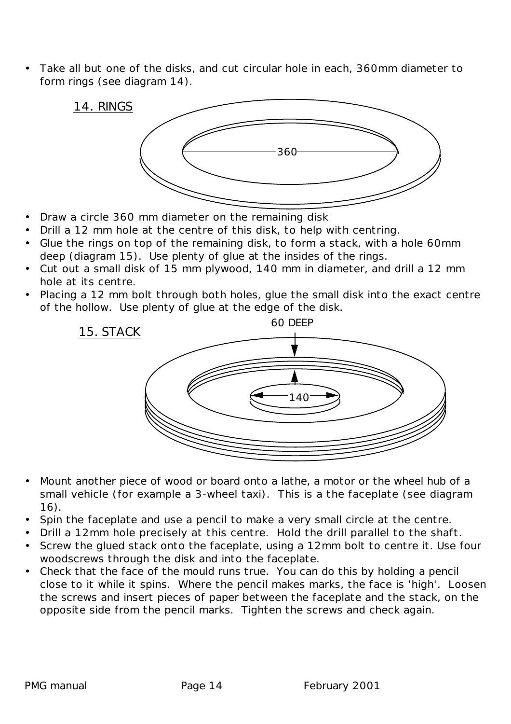Take all but one of the disks, and cut circular hole in each, 360mm diameter to form rings (see diagram 14).



- Draw a circle 360 mm diameter on the remaining disk
- Drill a 12 mm hole at the centre of this disk, to help with centring.
- Glue the rings on top of the remaining disk, to form a stack, with a hole 60mm deep (diagram 15). Use plenty of glue at the insides of the rings.
- Cut out a small disk of 15 mm plywood, 140 mm in diameter, and drill a 12 mm hole at its centre.
- Placing a 12 mm bolt through both holes, glue the small disk into the exact centre of the hollow. Use plenty of glue at the edge of the disk.



- Mount another piece of wood or board onto a lathe, a motor or the wheel hub of a small vehicle (for example a 3-wheel taxi). This is a the faceplate (see diagram 16).
- Spin the faceplate and use a pencil to make a very small circle at the centre.
- Drill a 12mm hole precisely at this centre. Hold the drill parallel to the shaft.
- Screw the glued stack onto the faceplate, using a 12mm bolt to centre it. Use four woodscrews through the disk and into the faceplate.
- Check that the face of the mould runs true. You can do this by holding a pencil close to it while it spins. Where the pencil makes marks, the face is 'high'. Loosen the screws and insert pieces of paper between the faceplate and the stack, on the opposite side from the pencil marks. Tighten the screws and check again.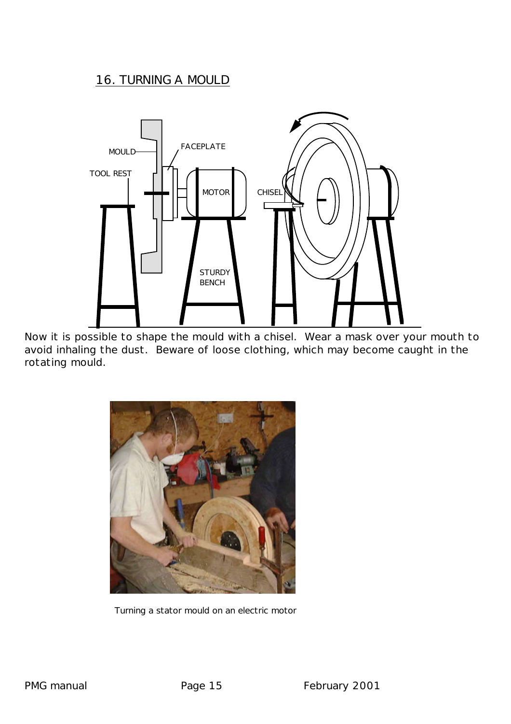## 16. TURNING A MOULD



Now it is possible to shape the mould with a chisel. Wear a mask over your mouth to avoid inhaling the dust. Beware of loose clothing, which may become caught in the rotating mould.



Turning a stator mould on an electric motor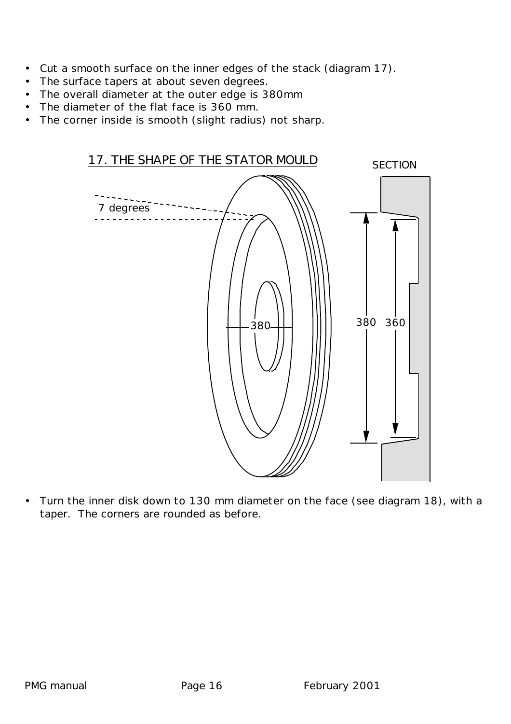- Cut a smooth surface on the inner edges of the stack (diagram 17).
- The surface tapers at about seven degrees.
- The overall diameter at the outer edge is 380mm
- The diameter of the flat face is 360 mm.
- The corner inside is smooth (slight radius) not sharp.



• Turn the inner disk down to 130 mm diameter on the face (see diagram 18), with a taper. The corners are rounded as before.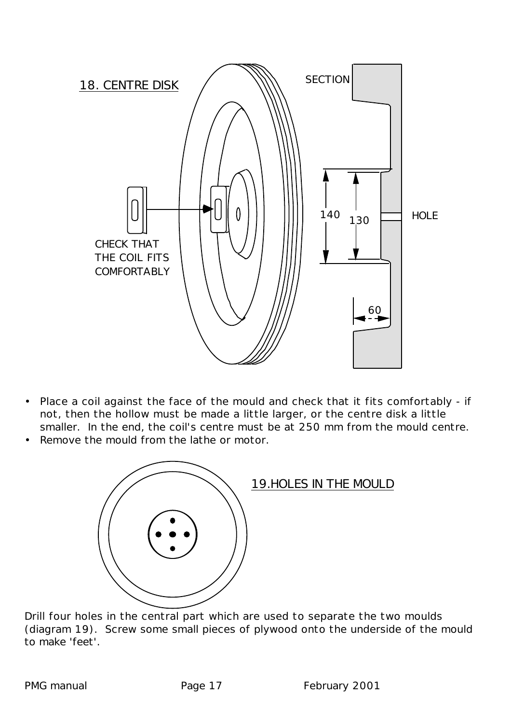

- Place a coil against the face of the mould and check that it fits comfortably if not, then the hollow must be made a little larger, or the centre disk a little smaller. In the end, the coil's centre must be at 250 mm from the mould centre.
- Remove the mould from the lathe or motor.



Drill four holes in the central part which are used to separate the two moulds (diagram 19). Screw some small pieces of plywood onto the underside of the mould to make 'feet'.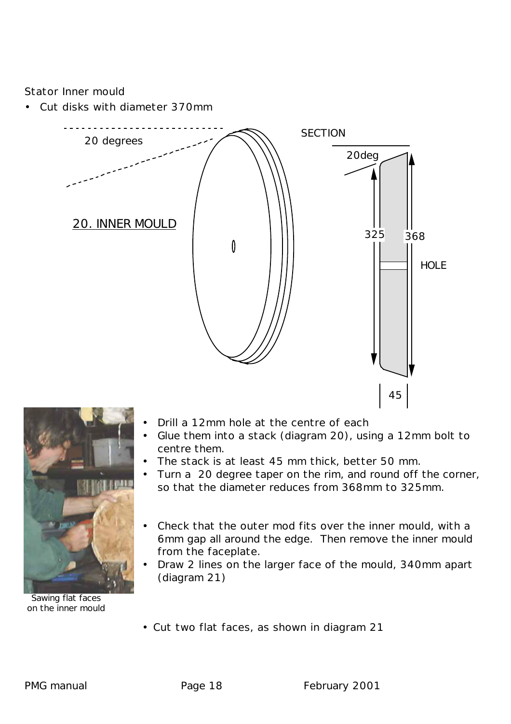Stator Inner mould

• Cut disks with diameter 370mm





Sawing flat faces on the inner mould

- Drill a 12mm hole at the centre of each
- Glue them into a stack (diagram 20), using a 12mm bolt to centre them.
- The stack is at least 45 mm thick, better 50 mm.
- Turn a 20 degree taper on the rim, and round off the corner, so that the diameter reduces from 368mm to 325mm.
- Check that the outer mod fits over the inner mould, with a 6mm gap all around the edge. Then remove the inner mould from the faceplate.
- Draw 2 lines on the larger face of the mould, 340mm apart (diagram 21)
- Cut two flat faces, as shown in diagram 21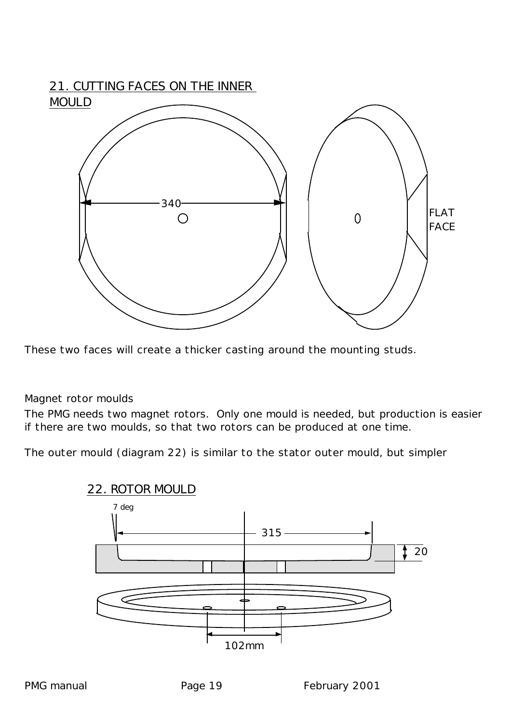

These two faces will create a thicker casting around the mounting studs.

#### Magnet rotor moulds

The PMG needs two magnet rotors. Only one mould is needed, but production is easier if there are two moulds, so that two rotors can be produced at one time.

The outer mould (diagram 22) is similar to the stator outer mould, but simpler

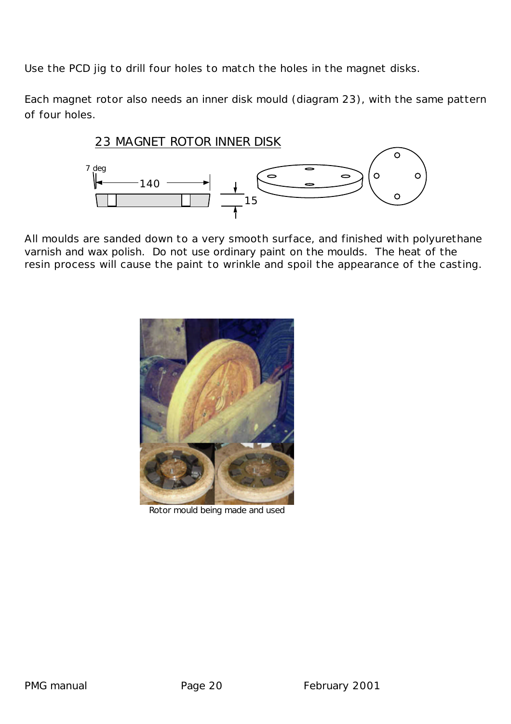Use the PCD jig to drill four holes to match the holes in the magnet disks.

Each magnet rotor also needs an inner disk mould (diagram 23), with the same pattern of four holes.



All moulds are sanded down to a very smooth surface, and finished with polyurethane varnish and wax polish. Do not use ordinary paint on the moulds. The heat of the resin process will cause the paint to wrinkle and spoil the appearance of the casting.



Rotor mould being made and used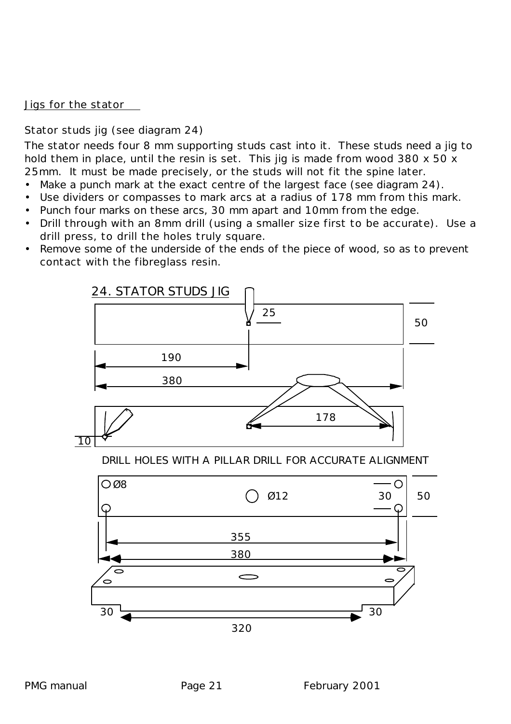Jigs for the stator

#### Stator studs jig (see diagram 24)

The stator needs four 8 mm supporting studs cast into it. These studs need a jig to hold them in place, until the resin is set. This jig is made from wood 380 x 50 x 25mm. It must be made precisely, or the studs will not fit the spine later.

- Make a punch mark at the exact centre of the largest face (see diagram 24).
- Use dividers or compasses to mark arcs at a radius of 178 mm from this mark.
- Punch four marks on these arcs, 30 mm apart and 10mm from the edge.
- Drill through with an 8mm drill (using a smaller size first to be accurate). Use a drill press, to drill the holes truly square.
- Remove some of the underside of the ends of the piece of wood, so as to prevent contact with the fibreglass resin.



DRILL HOLES WITH A PILLAR DRILL FOR ACCURATE ALIGNMENT

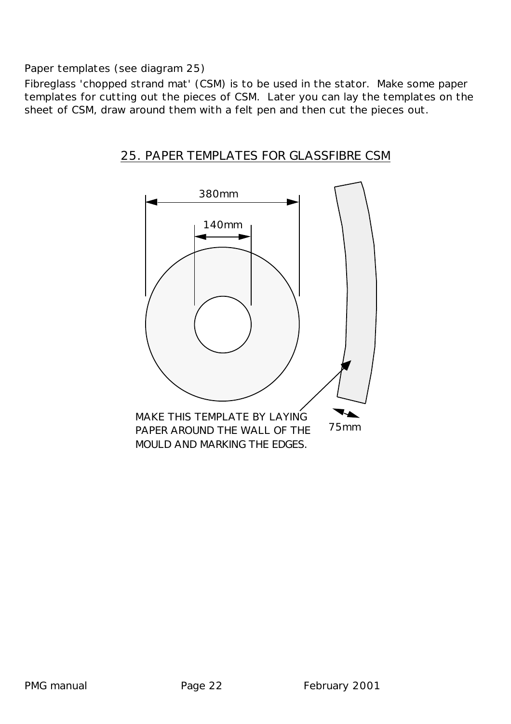Paper templates (see diagram 25)

Fibreglass 'chopped strand mat' (CSM) is to be used in the stator. Make some paper templates for cutting out the pieces of CSM. Later you can lay the templates on the sheet of CSM, draw around them with a felt pen and then cut the pieces out.



## 25. PAPER TEMPLATES FOR GLASSFIBRE CSM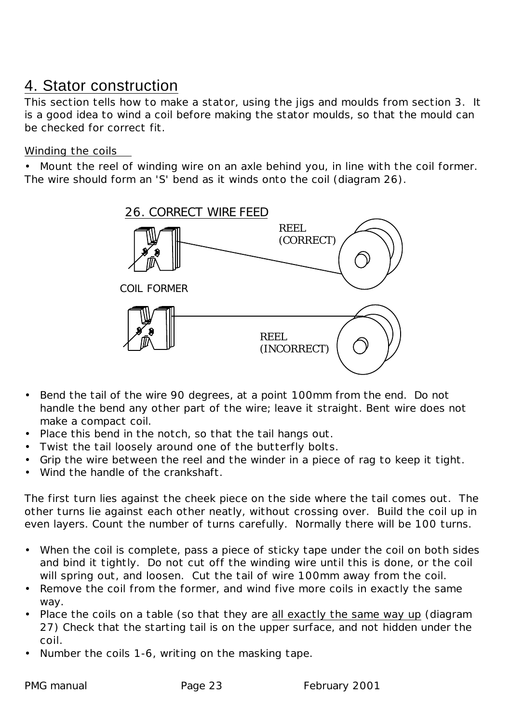## 4. Stator construction

This section tells how to make a stator, using the jigs and moulds from section 3. It is a good idea to wind a coil before making the stator moulds, so that the mould can be checked for correct fit.

### Winding the coils

• Mount the reel of winding wire on an axle behind you, in line with the coil former. The wire should form an 'S' bend as it winds onto the coil (diagram 26).



- Bend the tail of the wire 90 degrees, at a point 100mm from the end. Do not handle the bend any other part of the wire; leave it straight. Bent wire does not make a compact coil.
- Place this bend in the notch, so that the tail hangs out.
- Twist the tail loosely around one of the butterfly bolts.
- Grip the wire between the reel and the winder in a piece of rag to keep it tight.
- Wind the handle of the crankshaft.

The first turn lies against the cheek piece on the side where the tail comes out. The other turns lie against each other neatly, without crossing over. Build the coil up in even layers. Count the number of turns carefully. Normally there will be 100 turns.

- When the coil is complete, pass a piece of sticky tape under the coil on both sides and bind it tightly. Do not cut off the winding wire until this is done, or the coil will spring out, and loosen. Cut the tail of wire 100mm away from the coil.
- Remove the coil from the former, and wind five more coils in exactly the same way.
- Place the coils on a table (so that they are all exactly the same way up (diagram 27) Check that the starting tail is on the upper surface, and not hidden under the coil.
- Number the coils 1-6, writing on the masking tape.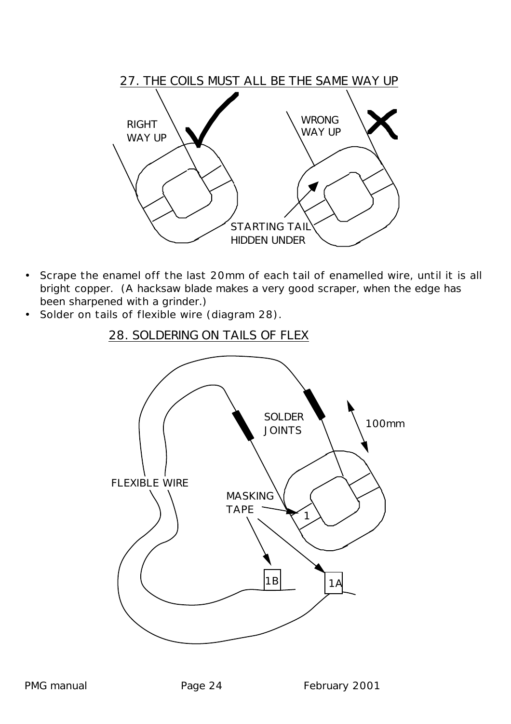

- Scrape the enamel off the last 20mm of each tail of enamelled wire, until it is all bright copper. (A hacksaw blade makes a very good scraper, when the edge has been sharpened with a grinder.)
- Solder on tails of flexible wire (diagram 28).

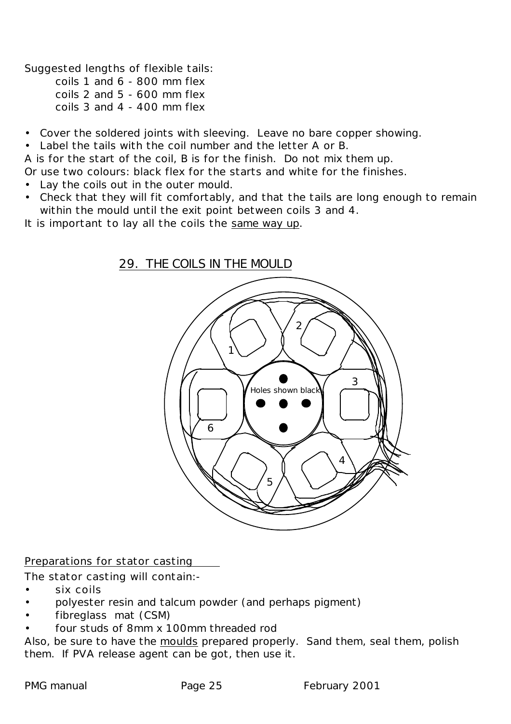Suggested lengths of flexible tails:

coils 1 and 6 - 800 mm flex coils 2 and 5 - 600 mm flex coils 3 and 4 - 400 mm flex

- Cover the soldered joints with sleeving. Leave no bare copper showing.
- Label the tails with the coil number and the letter A or B.
- A is for the start of the coil, B is for the finish. Do not mix them up.
- Or use two colours: black flex for the starts and white for the finishes.
- Lay the coils out in the outer mould.
- Check that they will fit comfortably, and that the tails are long enough to remain within the mould until the exit point between coils 3 and 4.
- It is important to lay all the coils the same way up.

## 29. THE COILS IN THE MOULD



### Preparations for stator casting

The stator casting will contain:-

- six coils
- polyester resin and talcum powder (and perhaps pigment)
- fibreglass mat (CSM)
- four studs of 8mm x 100mm threaded rod

Also, be sure to have the moulds prepared properly. Sand them, seal them, polish them. If PVA release agent can be got, then use it.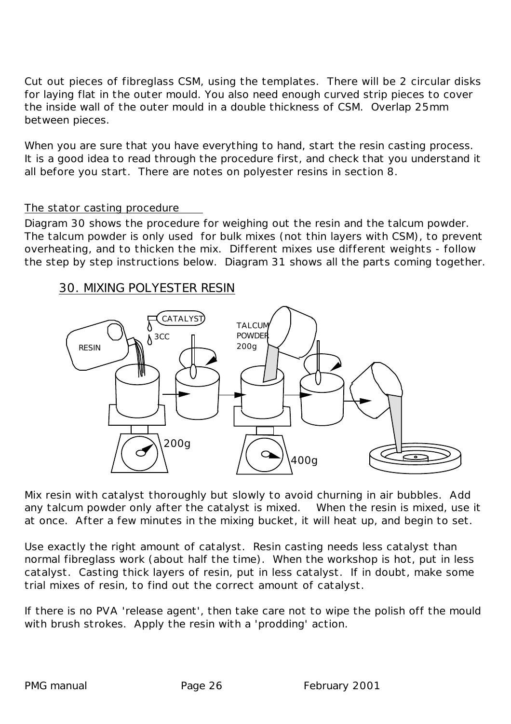Cut out pieces of fibreglass CSM, using the templates. There will be 2 circular disks for laying flat in the outer mould. You also need enough curved strip pieces to cover the inside wall of the outer mould in a double thickness of CSM. Overlap 25mm between pieces.

When you are sure that you have everything to hand, start the resin casting process. It is a good idea to read through the procedure first, and check that you understand it all before you start. There are notes on polyester resins in section 8.

#### The stator casting procedure

Diagram 30 shows the procedure for weighing out the resin and the talcum powder. The talcum powder is only used for bulk mixes (not thin layers with CSM), to prevent overheating, and to thicken the mix. Different mixes use different weights - follow the step by step instructions below. Diagram 31 shows all the parts coming together.

## 30. MIXING POLYESTER RESIN



Mix resin with catalyst thoroughly but slowly to avoid churning in air bubbles. Add any talcum powder only after the catalyst is mixed. When the resin is mixed, use it at once. After a few minutes in the mixing bucket, it will heat up, and begin to set.

Use exactly the right amount of catalyst. Resin casting needs less catalyst than normal fibreglass work (about half the time). When the workshop is hot, put in less catalyst. Casting thick layers of resin, put in less catalyst. If in doubt, make some trial mixes of resin, to find out the correct amount of catalyst.

If there is no PVA 'release agent', then take care not to wipe the polish off the mould with brush strokes. Apply the resin with a 'prodding' action.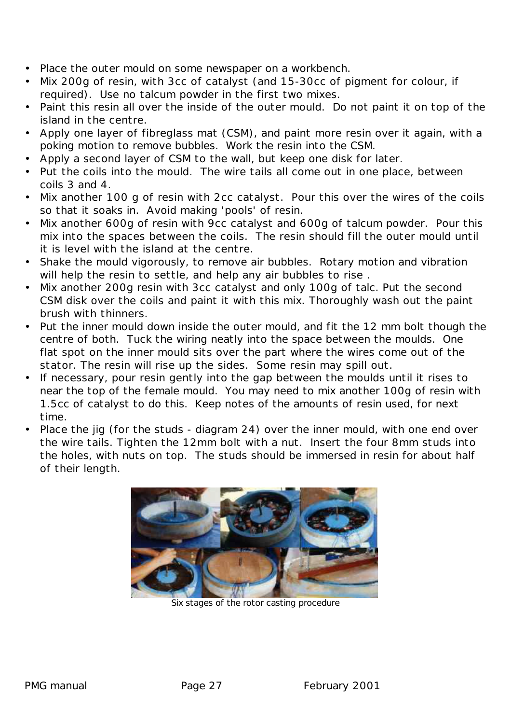- Place the outer mould on some newspaper on a workbench.
- Mix 200g of resin, with 3cc of catalyst (and 15-30cc of pigment for colour, if required). Use no talcum powder in the first two mixes.
- Paint this resin all over the inside of the outer mould. Do not paint it on top of the island in the centre.
- Apply one layer of fibreglass mat (CSM), and paint more resin over it again, with a poking motion to remove bubbles. Work the resin into the CSM.
- Apply a second layer of CSM to the wall, but keep one disk for later.
- Put the coils into the mould. The wire tails all come out in one place, between coils 3 and 4.
- Mix another 100 g of resin with 2cc catalyst. Pour this over the wires of the coils so that it soaks in. Avoid making 'pools' of resin.
- Mix another 600g of resin with 9cc catalyst and 600g of talcum powder. Pour this mix into the spaces between the coils. The resin should fill the outer mould until it is level with the island at the centre.
- Shake the mould vigorously, to remove air bubbles. Rotary motion and vibration will help the resin to settle, and help any air bubbles to rise .
- Mix another 200g resin with 3cc catalyst and only 100g of talc. Put the second CSM disk over the coils and paint it with this mix. Thoroughly wash out the paint brush with thinners.
- Put the inner mould down inside the outer mould, and fit the 12 mm bolt though the centre of both. Tuck the wiring neatly into the space between the moulds. One flat spot on the inner mould sits over the part where the wires come out of the stator. The resin will rise up the sides. Some resin may spill out.
- If necessary, pour resin gently into the gap between the moulds until it rises to near the top of the female mould. You may need to mix another 100g of resin with 1.5cc of catalyst to do this. Keep notes of the amounts of resin used, for next time.
- Place the jig (for the studs diagram 24) over the inner mould, with one end over the wire tails. Tighten the 12mm bolt with a nut. Insert the four 8mm studs into the holes, with nuts on top. The studs should be immersed in resin for about half of their length.



Six stages of the rotor casting procedure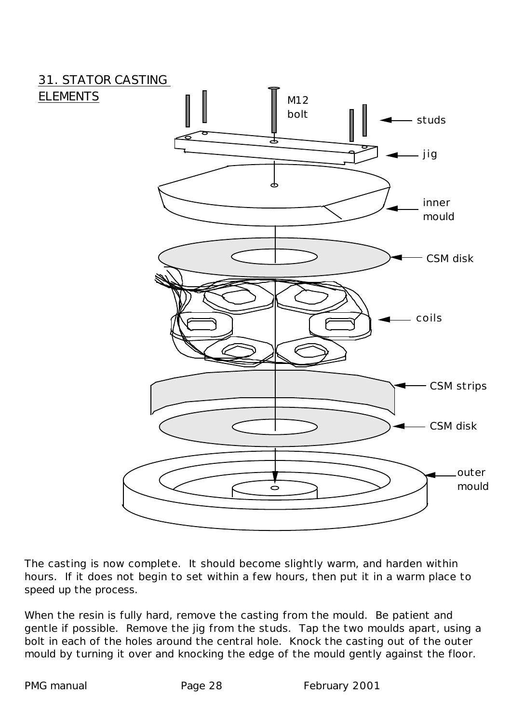

The casting is now complete. It should become slightly warm, and harden within hours. If it does not begin to set within a few hours, then put it in a warm place to speed up the process.

When the resin is fully hard, remove the casting from the mould. Be patient and gentle if possible. Remove the jig from the studs. Tap the two moulds apart, using a bolt in each of the holes around the central hole. Knock the casting out of the outer mould by turning it over and knocking the edge of the mould gently against the floor.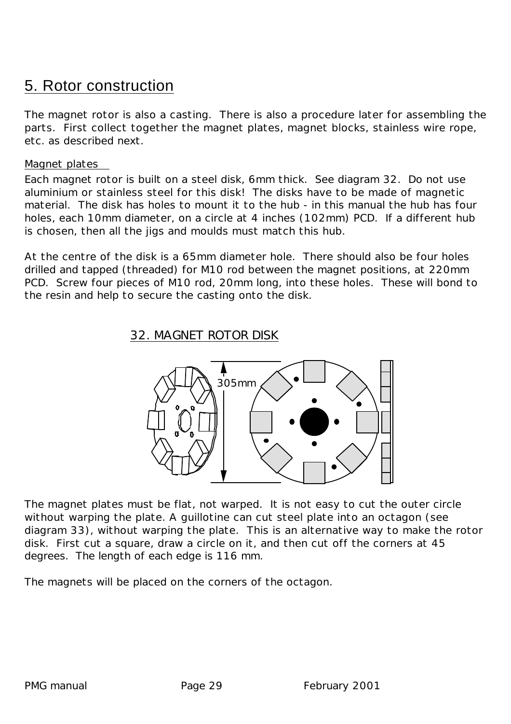## 5. Rotor construction

The magnet rotor is also a casting. There is also a procedure later for assembling the parts. First collect together the magnet plates, magnet blocks, stainless wire rope, etc. as described next.

#### Magnet plates

Each magnet rotor is built on a steel disk, 6mm thick. See diagram 32. Do not use aluminium or stainless steel for this disk! The disks have to be made of magnetic material. The disk has holes to mount it to the hub - in this manual the hub has four holes, each 10mm diameter, on a circle at 4 inches (102mm) PCD. If a different hub is chosen, then all the jigs and moulds must match this hub.

At the centre of the disk is a 65mm diameter hole. There should also be four holes drilled and tapped (threaded) for M10 rod between the magnet positions, at 220mm PCD. Screw four pieces of M10 rod, 20mm long, into these holes. These will bond to the resin and help to secure the casting onto the disk.

## 32. MAGNET ROTOR DISK



The magnet plates must be flat, not warped. It is not easy to cut the outer circle without warping the plate. A guillotine can cut steel plate into an octagon (see diagram 33), without warping the plate. This is an alternative way to make the rotor disk. First cut a square, draw a circle on it, and then cut off the corners at 45 degrees. The length of each edge is 116 mm.

The magnets will be placed on the corners of the octagon.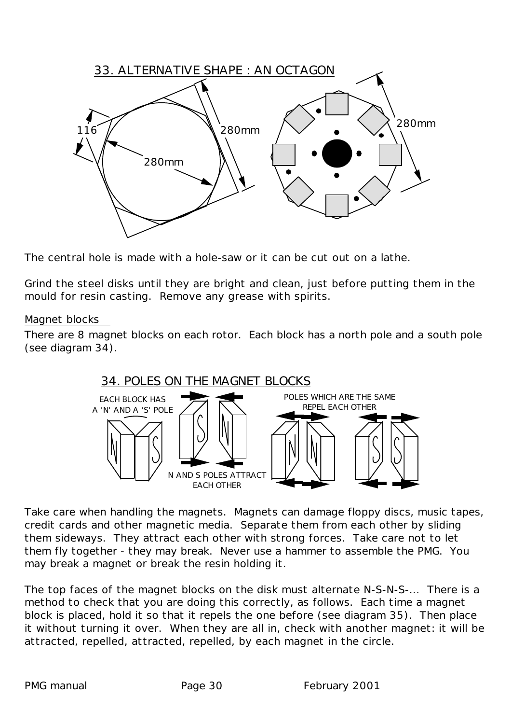

The central hole is made with a hole-saw or it can be cut out on a lathe.

Grind the steel disks until they are bright and clean, just before putting them in the mould for resin casting. Remove any grease with spirits.

#### Magnet blocks

There are 8 magnet blocks on each rotor. Each block has a north pole and a south pole (see diagram 34).



Take care when handling the magnets. Magnets can damage floppy discs, music tapes, credit cards and other magnetic media. Separate them from each other by sliding them sideways. They attract each other with strong forces. Take care not to let them fly together - they may break. Never use a hammer to assemble the PMG. You may break a magnet or break the resin holding it.

The top faces of the magnet blocks on the disk must alternate N-S-N-S-... There is a method to check that you are doing this correctly, as follows. Each time a magnet block is placed, hold it so that it repels the one before (see diagram 35). Then place it without turning it over. When they are all in, check with another magnet: it will be attracted, repelled, attracted, repelled, by each magnet in the circle.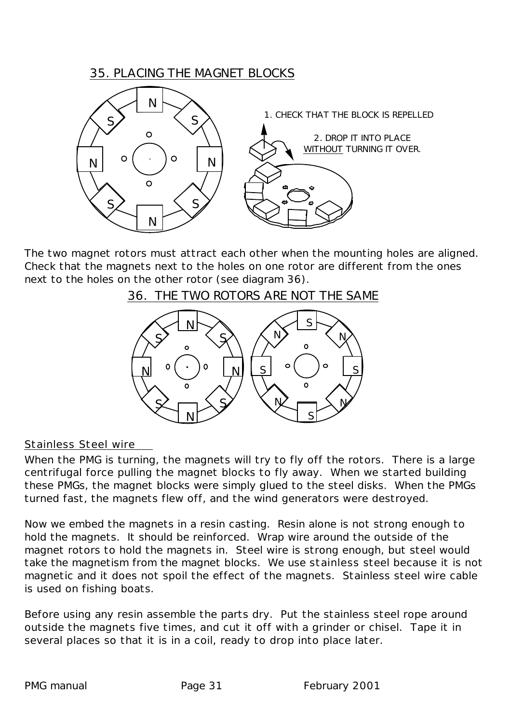35. PLACING THE MAGNET BLOCKS



The two magnet rotors must attract each other when the mounting holes are aligned. Check that the magnets next to the holes on one rotor are different from the ones next to the holes on the other rotor (see diagram 36).



#### Stainless Steel wire

When the PMG is turning, the magnets will try to fly off the rotors. There is a large centrifugal force pulling the magnet blocks to fly away. When we started building these PMGs, the magnet blocks were simply glued to the steel disks. When the PMGs turned fast, the magnets flew off, and the wind generators were destroyed.

Now we embed the magnets in a resin casting. Resin alone is not strong enough to hold the magnets. It should be reinforced. Wrap wire around the outside of the magnet rotors to hold the magnets in. Steel wire is strong enough, but steel would take the magnetism from the magnet blocks. We use stainless steel because it is not magnetic and it does not spoil the effect of the magnets. Stainless steel wire cable is used on fishing boats.

Before using any resin assemble the parts dry. Put the stainless steel rope around outside the magnets five times, and cut it off with a grinder or chisel. Tape it in several places so that it is in a coil, ready to drop into place later.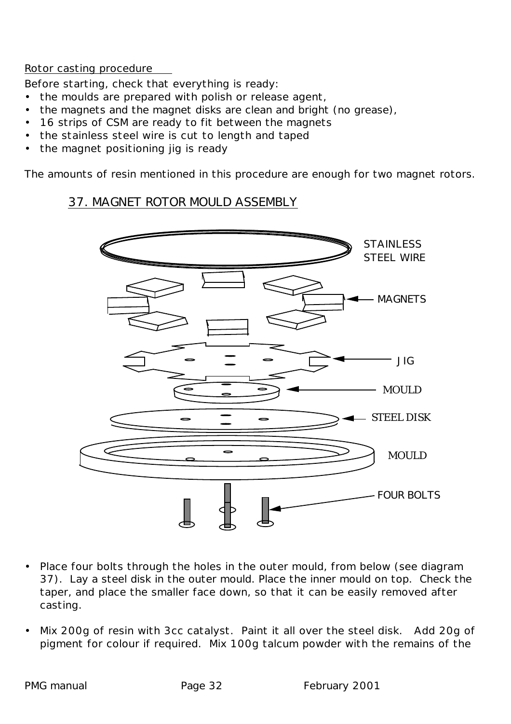Rotor casting procedure

Before starting, check that everything is ready:

- the moulds are prepared with polish or release agent,
- the magnets and the magnet disks are clean and bright (no grease),
- 16 strips of CSM are ready to fit between the magnets
- the stainless steel wire is cut to length and taped
- the magnet positioning jig is ready

The amounts of resin mentioned in this procedure are enough for two magnet rotors.

## 37. MAGNET ROTOR MOULD ASSEMBLY



- Place four bolts through the holes in the outer mould, from below (see diagram 37). Lay a steel disk in the outer mould. Place the inner mould on top. Check the taper, and place the smaller face down, so that it can be easily removed after casting.
- Mix 200g of resin with 3cc catalyst. Paint it all over the steel disk. Add 20g of pigment for colour if required. Mix 100g talcum powder with the remains of the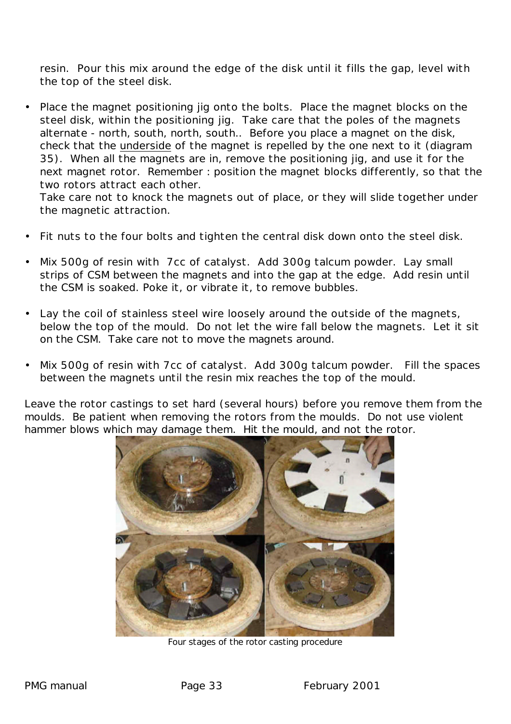resin. Pour this mix around the edge of the disk until it fills the gap, level with the top of the steel disk.

Place the magnet positioning jig onto the bolts. Place the magnet blocks on the steel disk, within the positioning jig. Take care that the poles of the magnets alternate - north, south, north, south.. Before you place a magnet on the disk, check that the underside of the magnet is repelled by the one next to it (diagram 35). When all the magnets are in, remove the positioning jig, and use it for the next magnet rotor. Remember : position the magnet blocks differently, so that the two rotors attract each other.

Take care not to knock the magnets out of place, or they will slide together under the magnetic attraction.

- Fit nuts to the four bolts and tighten the central disk down onto the steel disk.
- Mix 500g of resin with 7cc of catalyst. Add 300g talcum powder. Lay small strips of CSM between the magnets and into the gap at the edge. Add resin until the CSM is soaked. Poke it, or vibrate it, to remove bubbles.
- Lay the coil of stainless steel wire loosely around the outside of the magnets, below the top of the mould. Do not let the wire fall below the magnets. Let it sit on the CSM. Take care not to move the magnets around.
- Mix 500g of resin with 7cc of catalyst. Add 300g talcum powder. Fill the spaces between the magnets until the resin mix reaches the top of the mould.

Leave the rotor castings to set hard (several hours) before you remove them from the moulds. Be patient when removing the rotors from the moulds. Do not use violent hammer blows which may damage them. Hit the mould, and not the rotor.



Four stages of the rotor casting procedure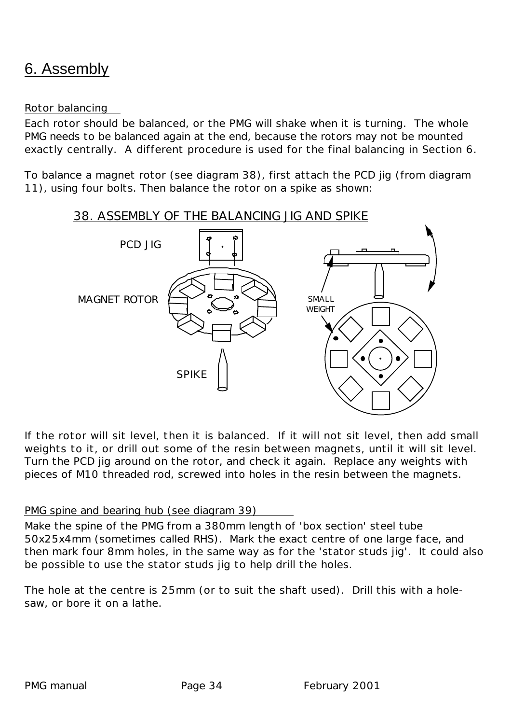## 6. Assembly

#### Rotor balancing

Each rotor should be balanced, or the PMG will shake when it is turning. The whole PMG needs to be balanced again at the end, because the rotors may not be mounted exactly centrally. A different procedure is used for the final balancing in Section 6.

To balance a magnet rotor (see diagram 38), first attach the PCD jig (from diagram 11), using four bolts. Then balance the rotor on a spike as shown:

#### 38. ASSEMBLY OF THE BALANCING JIG AND SPIKE



If the rotor will sit level, then it is balanced. If it will not sit level, then add small weights to it, or drill out some of the resin between magnets, until it will sit level. Turn the PCD jig around on the rotor, and check it again. Replace any weights with pieces of M10 threaded rod, screwed into holes in the resin between the magnets.

#### PMG spine and bearing hub (see diagram 39)

Make the spine of the PMG from a 380mm length of 'box section' steel tube 50x25x4mm (sometimes called RHS). Mark the exact centre of one large face, and then mark four 8mm holes, in the same way as for the 'stator studs jig'. It could also be possible to use the stator studs jig to help drill the holes.

The hole at the centre is 25mm (or to suit the shaft used). Drill this with a holesaw, or bore it on a lathe.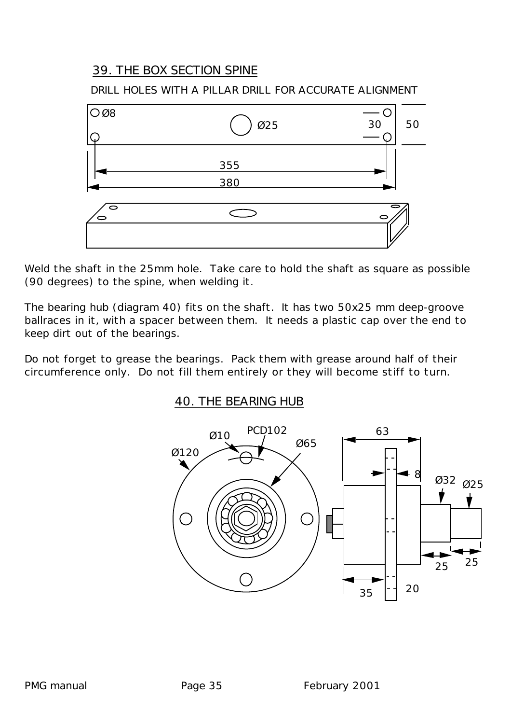## 39. THE BOX SECTION SPINE

#### DRILL HOLES WITH A PILLAR DRILL FOR ACCURATE ALIGNMENT



Weld the shaft in the 25mm hole. Take care to hold the shaft as square as possible (90 degrees) to the spine, when welding it.

The bearing hub (diagram 40) fits on the shaft. It has two 50x25 mm deep-groove ballraces in it, with a spacer between them. It needs a plastic cap over the end to keep dirt out of the bearings.

Do not forget to grease the bearings. Pack them with grease around half of their circumference only. Do not fill them entirely or they will become stiff to turn.

#### 40. THE BEARING HUB

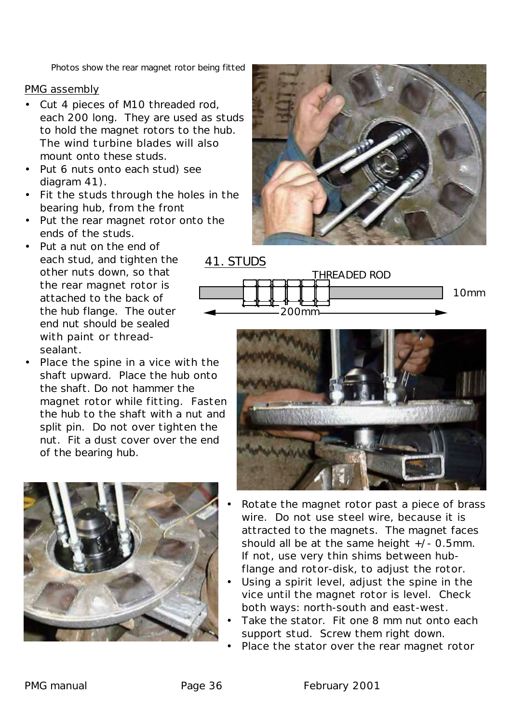Photos show the rear magnet rotor being fitted

#### PMG assembly

- Cut 4 pieces of M10 threaded rod, each 200 long. They are used as studs to hold the magnet rotors to the hub. The wind turbine blades will also mount onto these studs.
- Put 6 nuts onto each stud) see diagram 41).
- Fit the studs through the holes in the bearing hub, from the front
- Put the rear magnet rotor onto the ends of the studs.
- Put a nut on the end of each stud, and tighten the other nuts down, so that the rear magnet rotor is attached to the back of the hub flange. The outer end nut should be sealed with paint or threadsealant.
- Place the spine in a vice with the shaft upward. Place the hub onto the shaft. Do not hammer the magnet rotor while fitting. Fasten the hub to the shaft with a nut and split pin. Do not over tighten the nut. Fit a dust cover over the end of the bearing hub.









- Rotate the magnet rotor past a piece of brass wire. Do not use steel wire, because it is attracted to the magnets. The magnet faces should all be at the same height  $+/-$  0.5mm. If not, use very thin shims between hubflange and rotor-disk, to adjust the rotor.
- Using a spirit level, adjust the spine in the vice until the magnet rotor is level. Check both ways: north-south and east-west.
- Take the stator. Fit one 8 mm nut onto each support stud. Screw them right down.
- Place the stator over the rear magnet rotor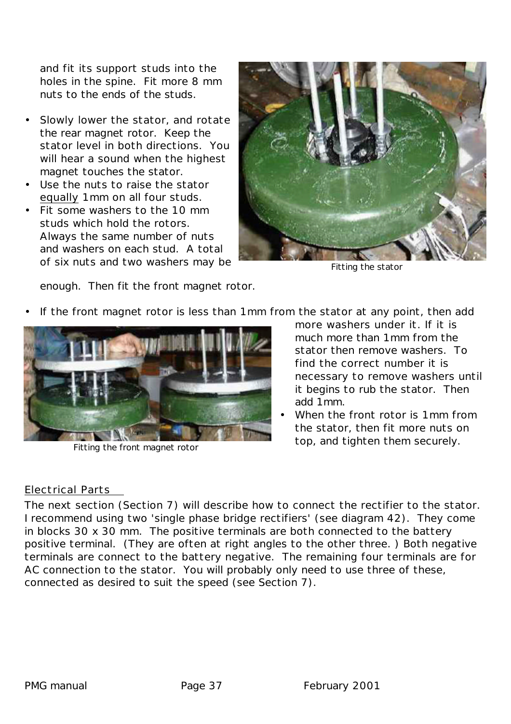and fit its support studs into the holes in the spine. Fit more 8 mm nuts to the ends of the studs.

- Slowly lower the stator, and rotate the rear magnet rotor. Keep the stator level in both directions. You will hear a sound when the highest magnet touches the stator.
- Use the nuts to raise the stator equally 1mm on all four studs.
- Fit some washers to the 10 mm studs which hold the rotors. Always the same number of nuts and washers on each stud. A total of six nuts and two washers may be Fitting the stator



enough. Then fit the front magnet rotor.

If the front magnet rotor is less than 1mm from the stator at any point, then add



more washers under it. If it is much more than 1mm from the stator then remove washers. To find the correct number it is necessary to remove washers until it begins to rub the stator. Then add 1mm.

When the front rotor is 1mm from the stator, then fit more nuts on top, and tighten them securely. Fitting the front magnet rotor

### Electrical Parts

The next section (Section 7) will describe how to connect the rectifier to the stator. I recommend using two 'single phase bridge rectifiers' (see diagram 42). They come in blocks 30 x 30 mm. The positive terminals are both connected to the battery positive terminal. (They are often at right angles to the other three. ) Both negative terminals are connect to the battery negative. The remaining four terminals are for AC connection to the stator. You will probably only need to use three of these, connected as desired to suit the speed (see Section 7).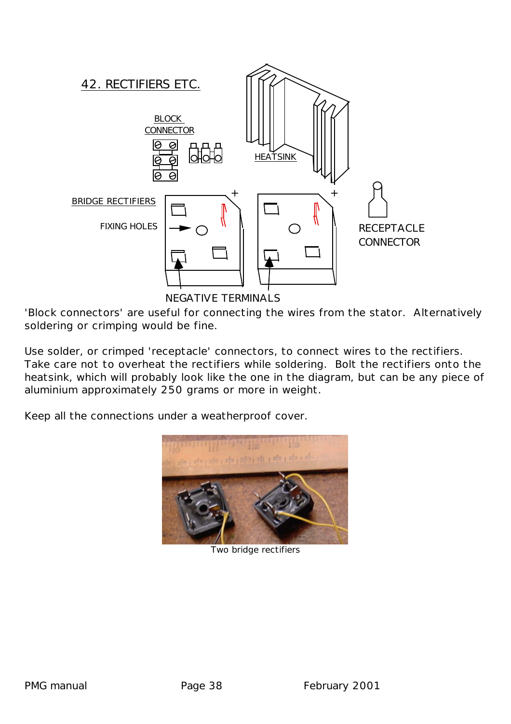

NEGATIVE TERMINALS

'Block connectors' are useful for connecting the wires from the stator. Alternatively soldering or crimping would be fine.

Use solder, or crimped 'receptacle' connectors, to connect wires to the rectifiers. Take care not to overheat the rectifiers while soldering. Bolt the rectifiers onto the heatsink, which will probably look like the one in the diagram, but can be any piece of aluminium approximately 250 grams or more in weight.

Keep all the connections under a weatherproof cover.



Two bridge rectifiers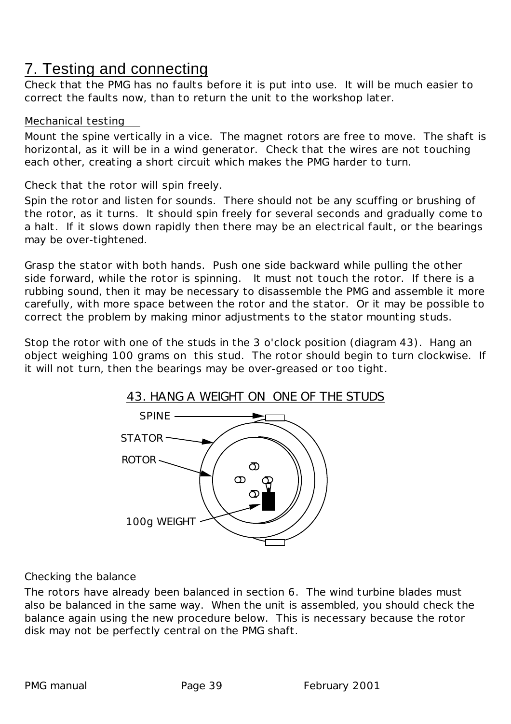## 7. Testing and connecting

Check that the PMG has no faults before it is put into use. It will be much easier to correct the faults now, than to return the unit to the workshop later.

#### Mechanical testing

Mount the spine vertically in a vice. The magnet rotors are free to move. The shaft is horizontal, as it will be in a wind generator. Check that the wires are not touching each other, creating a short circuit which makes the PMG harder to turn.

Check that the rotor will spin freely.

Spin the rotor and listen for sounds. There should not be any scuffing or brushing of the rotor, as it turns. It should spin freely for several seconds and gradually come to a halt. If it slows down rapidly then there may be an electrical fault, or the bearings may be over-tightened.

Grasp the stator with both hands. Push one side backward while pulling the other side forward, while the rotor is spinning. It must not touch the rotor. If there is a rubbing sound, then it may be necessary to disassemble the PMG and assemble it more carefully, with more space between the rotor and the stator. Or it may be possible to correct the problem by making minor adjustments to the stator mounting studs.

Stop the rotor with one of the studs in the 3 o'clock position (diagram 43). Hang an object weighing 100 grams on this stud. The rotor should begin to turn clockwise. If it will not turn, then the bearings may be over-greased or too tight.



#### Checking the balance

The rotors have already been balanced in section 6. The wind turbine blades must also be balanced in the same way. When the unit is assembled, you should check the balance again using the new procedure below. This is necessary because the rotor disk may not be perfectly central on the PMG shaft.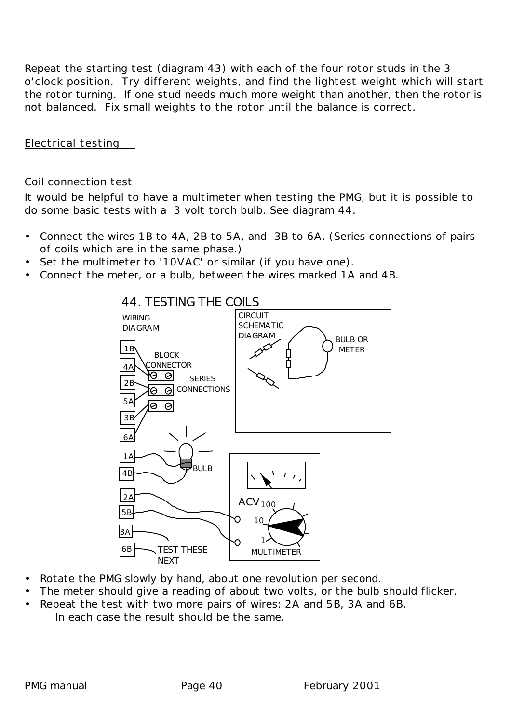Repeat the starting test (diagram 43) with each of the four rotor studs in the 3 o'clock position. Try different weights, and find the lightest weight which will start the rotor turning. If one stud needs much more weight than another, then the rotor is not balanced. Fix small weights to the rotor until the balance is correct.

#### Electrical testing

#### Coil connection test

It would be helpful to have a multimeter when testing the PMG, but it is possible to do some basic tests with a 3 volt torch bulb. See diagram 44.

- Connect the wires 1B to 4A, 2B to 5A, and 3B to 6A. (Series connections of pairs of coils which are in the same phase.)
- Set the multimeter to '10VAC' or similar (if you have one).
- Connect the meter, or a bulb, between the wires marked 1A and 4B.



- Rotate the PMG slowly by hand, about one revolution per second.
- The meter should give a reading of about two volts, or the bulb should flicker.
- Repeat the test with two more pairs of wires: 2A and 5B, 3A and 6B. In each case the result should be the same.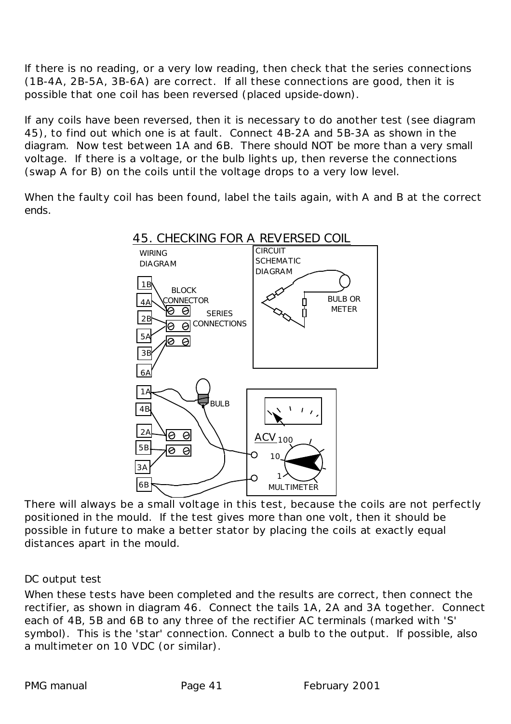If there is no reading, or a very low reading, then check that the series connections (1B-4A, 2B-5A, 3B-6A) are correct. If all these connections are good, then it is possible that one coil has been reversed (placed upside-down).

If any coils have been reversed, then it is necessary to do another test (see diagram 45), to find out which one is at fault. Connect 4B-2A and 5B-3A as shown in the diagram. Now test between 1A and 6B. There should NOT be more than a very small voltage. If there is a voltage, or the bulb lights up, then reverse the connections (swap A for B) on the coils until the voltage drops to a very low level.

When the faulty coil has been found, label the tails again, with A and B at the correct ends.



There will always be a small voltage in this test, because the coils are not perfectly positioned in the mould. If the test gives more than one volt, then it should be possible in future to make a better stator by placing the coils at exactly equal distances apart in the mould.

#### DC output test

When these tests have been completed and the results are correct, then connect the rectifier, as shown in diagram 46. Connect the tails 1A, 2A and 3A together. Connect each of 4B, 5B and 6B to any three of the rectifier AC terminals (marked with 'S' symbol). This is the 'star' connection. Connect a bulb to the output. If possible, also a multimeter on 10 VDC (or similar).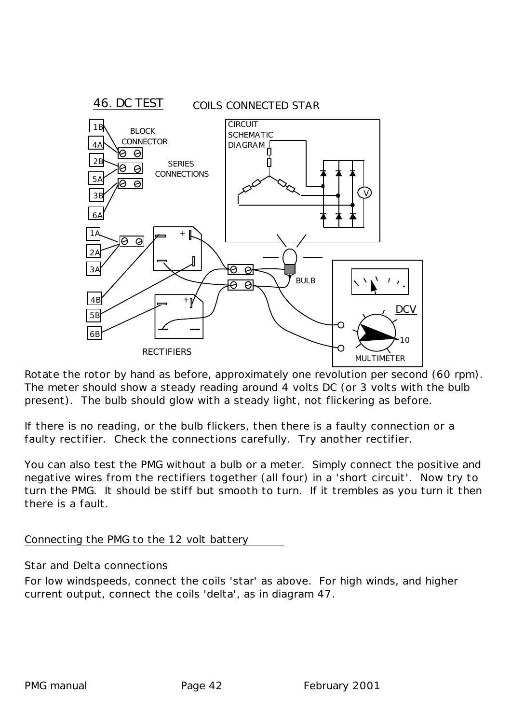

Rotate the rotor by hand as before, approximately one revolution per second (60 rpm). The meter should show a steady reading around 4 volts DC (or 3 volts with the bulb present). The bulb should glow with a steady light, not flickering as before.

If there is no reading, or the bulb flickers, then there is a faulty connection or a faulty rectifier. Check the connections carefully. Try another rectifier.

You can also test the PMG without a bulb or a meter. Simply connect the positive and negative wires from the rectifiers together (all four) in a 'short circuit'. Now try to turn the PMG. It should be stiff but smooth to turn. If it trembles as you turn it then there is a fault.

Connecting the PMG to the 12 volt battery

#### Star and Delta connections

For low windspeeds, connect the coils 'star' as above. For high winds, and higher current output, connect the coils 'delta', as in diagram 47.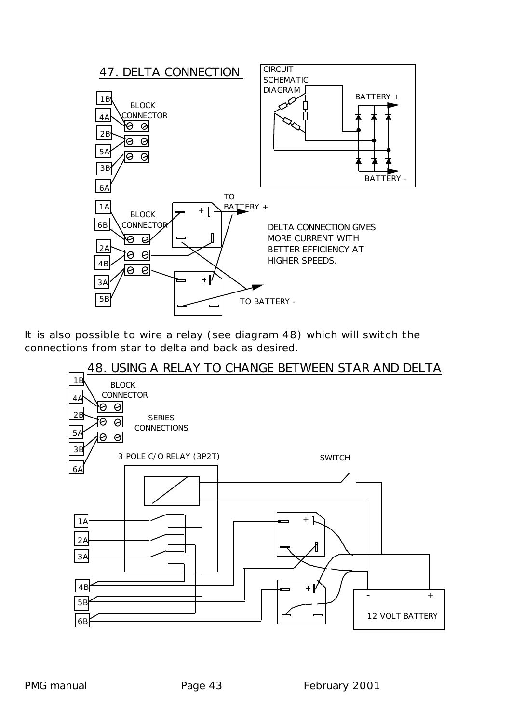

It is also possible to wire a relay (see diagram 48) which will switch the connections from star to delta and back as desired.

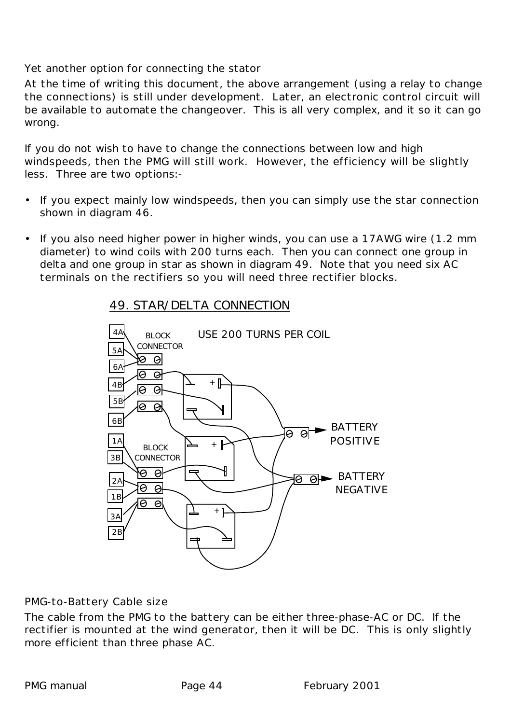Yet another option for connecting the stator

At the time of writing this document, the above arrangement (using a relay to change the connections) is still under development. Later, an electronic control circuit will be available to automate the changeover. This is all very complex, and it so it can go wrong.

If you do not wish to have to change the connections between low and high windspeeds, then the PMG will still work. However, the efficiency will be slightly less. Three are two options:-

- If you expect mainly low windspeeds, then you can simply use the star connection shown in diagram 46.
- If you also need higher power in higher winds, you can use a 17AWG wire (1.2 mm diameter) to wind coils with 200 turns each. Then you can connect one group in delta and one group in star as shown in diagram 49. Note that you need six AC terminals on the rectifiers so you will need three rectifier blocks.

### 49. STAR/DELTA CONNECTION



PMG-to-Battery Cable size

The cable from the PMG to the battery can be either three-phase-AC or DC. If the rectifier is mounted at the wind generator, then it will be DC. This is only slightly more efficient than three phase AC.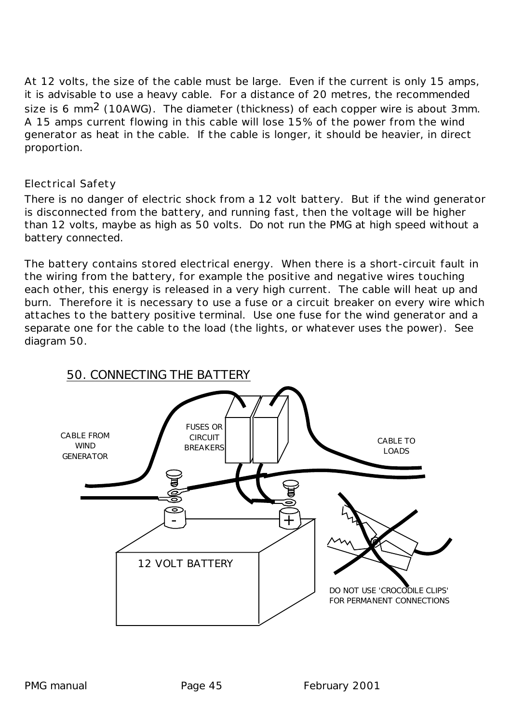At 12 volts, the size of the cable must be large. Even if the current is only 15 amps, it is advisable to use a heavy cable. For a distance of 20 metres, the recommended size is 6 mm<sup>2</sup> (10AWG). The diameter (thickness) of each copper wire is about 3mm. A 15 amps current flowing in this cable will lose 15% of the power from the wind generator as heat in the cable. If the cable is longer, it should be heavier, in direct proportion.

#### Electrical Safety

There is no danger of electric shock from a 12 volt battery. But if the wind generator is disconnected from the battery, and running fast, then the voltage will be higher than 12 volts, maybe as high as 50 volts. Do not run the PMG at high speed without a battery connected.

The battery contains stored electrical energy. When there is a short-circuit fault in the wiring from the battery, for example the positive and negative wires touching each other, this energy is released in a very high current. The cable will heat up and burn. Therefore it is necessary to use a fuse or a circuit breaker on every wire which attaches to the battery positive terminal. Use one fuse for the wind generator and a separate one for the cable to the load (the lights, or whatever uses the power). See diagram 50.

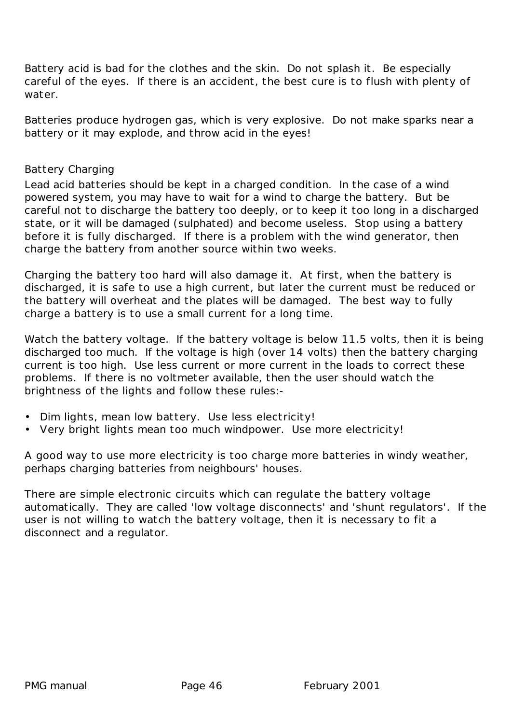Battery acid is bad for the clothes and the skin. Do not splash it. Be especially careful of the eyes. If there is an accident, the best cure is to flush with plenty of water.

Batteries produce hydrogen gas, which is very explosive. Do not make sparks near a battery or it may explode, and throw acid in the eyes!

#### Battery Charging

Lead acid batteries should be kept in a charged condition. In the case of a wind powered system, you may have to wait for a wind to charge the battery. But be careful not to discharge the battery too deeply, or to keep it too long in a discharged state, or it will be damaged (sulphated) and become useless. Stop using a battery before it is fully discharged. If there is a problem with the wind generator, then charge the battery from another source within two weeks.

Charging the battery too hard will also damage it. At first, when the battery is discharged, it is safe to use a high current, but later the current must be reduced or the battery will overheat and the plates will be damaged. The best way to fully charge a battery is to use a small current for a long time.

Watch the battery voltage. If the battery voltage is below 11.5 volts, then it is being discharged too much. If the voltage is high (over 14 volts) then the battery charging current is too high. Use less current or more current in the loads to correct these problems. If there is no voltmeter available, then the user should watch the brightness of the lights and follow these rules:-

- Dim lights, mean low battery. Use less electricity!
- Very bright lights mean too much windpower. Use more electricity!

A good way to use more electricity is too charge more batteries in windy weather, perhaps charging batteries from neighbours' houses.

There are simple electronic circuits which can regulate the battery voltage automatically. They are called 'low voltage disconnects' and 'shunt regulators'. If the user is not willing to watch the battery voltage, then it is necessary to fit a disconnect and a regulator.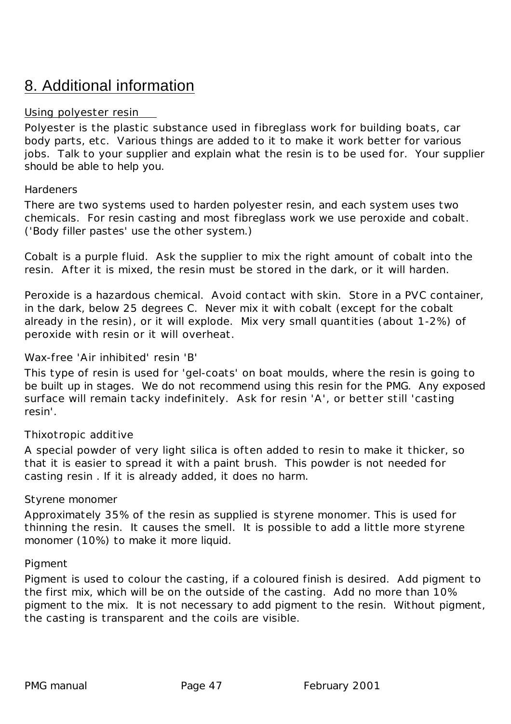## 8. Additional information

#### Using polyester resin

Polyester is the plastic substance used in fibreglass work for building boats, car body parts, etc. Various things are added to it to make it work better for various jobs. Talk to your supplier and explain what the resin is to be used for. Your supplier should be able to help you.

#### Hardeners

There are two systems used to harden polyester resin, and each system uses two chemicals. For resin casting and most fibreglass work we use peroxide and cobalt. ('Body filler pastes' use the other system.)

Cobalt is a purple fluid. Ask the supplier to mix the right amount of cobalt into the resin. After it is mixed, the resin must be stored in the dark, or it will harden.

Peroxide is a hazardous chemical. Avoid contact with skin. Store in a PVC container, in the dark, below 25 degrees C. Never mix it with cobalt (except for the cobalt already in the resin), or it will explode. Mix very small quantities (about 1-2%) of peroxide with resin or it will overheat.

#### Wax-free 'Air inhibited' resin 'B'

This type of resin is used for 'gel-coats' on boat moulds, where the resin is going to be built up in stages. We do not recommend using this resin for the PMG. Any exposed surface will remain tacky indefinitely. Ask for resin 'A', or better still 'casting resin'.

#### Thixotropic additive

A special powder of very light silica is often added to resin to make it thicker, so that it is easier to spread it with a paint brush. This powder is not needed for casting resin . If it is already added, it does no harm.

#### Styrene monomer

Approximately 35% of the resin as supplied is styrene monomer. This is used for thinning the resin. It causes the smell. It is possible to add a little more styrene monomer (10%) to make it more liquid.

#### Piament

Pigment is used to colour the casting, if a coloured finish is desired. Add pigment to the first mix, which will be on the outside of the casting. Add no more than 10% pigment to the mix. It is not necessary to add pigment to the resin. Without pigment, the casting is transparent and the coils are visible.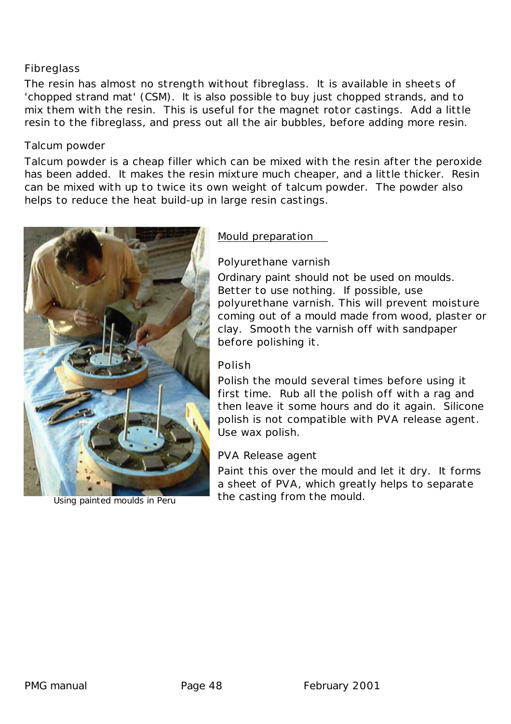#### Fibreglass

The resin has almost no strength without fibreglass. It is available in sheets of 'chopped strand mat' (CSM). It is also possible to buy just chopped strands, and to mix them with the resin. This is useful for the magnet rotor castings. Add a little resin to the fibreglass, and press out all the air bubbles, before adding more resin.

#### Talcum powder

Talcum powder is a cheap filler which can be mixed with the resin after the peroxide has been added. It makes the resin mixture much cheaper, and a little thicker. Resin can be mixed with up to twice its own weight of talcum powder. The powder also helps to reduce the heat build-up in large resin castings.



### Mould preparation

#### Polyurethane varnish

Ordinary paint should not be used on moulds. Better to use nothing. If possible, use polyurethane varnish. This will prevent moisture coming out of a mould made from wood, plaster or clay. Smooth the varnish off with sandpaper before polishing it.

#### Polish

Polish the mould several times before using it first time. Rub all the polish off with a rag and then leave it some hours and do it again. Silicone polish is not compatible with PVA release agent. Use wax polish.

#### PVA Release agent

Paint this over the mould and let it dry. It forms a sheet of PVA, which greatly helps to separate Using painted moulds in Peru the casting from the mould.